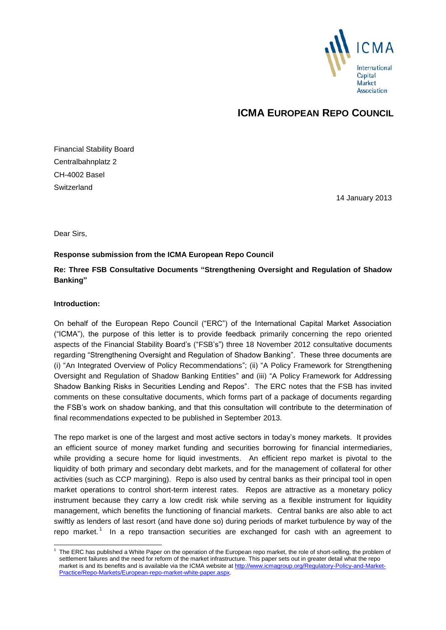

## **ICMA EUROPEAN REPO COUNCIL**

Financial Stability Board Centralbahnplatz 2 CH-4002 Basel **Switzerland** 

14 January 2013

Dear Sirs,

#### **Response submission from the ICMA European Repo Council**

## **Re: Three FSB Consultative Documents "Strengthening Oversight and Regulation of Shadow Banking"**

#### **Introduction:**

-

On behalf of the European Repo Council ("ERC") of the International Capital Market Association ("ICMA"), the purpose of this letter is to provide feedback primarily concerning the repo oriented aspects of the Financial Stability Board's ("FSB's") three 18 November 2012 consultative documents regarding "Strengthening Oversight and Regulation of Shadow Banking". These three documents are (i) "An Integrated Overview of Policy Recommendations"; (ii) "A Policy Framework for Strengthening Oversight and Regulation of Shadow Banking Entities" and (iii) "A Policy Framework for Addressing Shadow Banking Risks in Securities Lending and Repos". The ERC notes that the FSB has invited comments on these consultative documents, which forms part of a package of documents regarding the FSB's work on shadow banking, and that this consultation will contribute to the determination of final recommendations expected to be published in September 2013.

The repo market is one of the largest and most active sectors in today's money markets. It provides an efficient source of money market funding and securities borrowing for financial intermediaries, while providing a secure home for liquid investments. An efficient repo market is pivotal to the liquidity of both primary and secondary debt markets, and for the management of collateral for other activities (such as CCP margining). Repo is also used by central banks as their principal tool in open market operations to control short-term interest rates. Repos are attractive as a monetary policy instrument because they carry a low credit risk while serving as a flexible instrument for liquidity management, which benefits the functioning of financial markets. Central banks are also able to act swiftly as lenders of last resort (and have done so) during periods of market turbulence by way of the repo market.<sup>1</sup> In a repo transaction securities are exchanged for cash with an agreement to

<sup>1</sup> The ERC has published a White Paper on the operation of the European repo market, the role of short-selling, the problem of settlement failures and the need for reform of the market infrastructure. This paper sets out in greater detail what the repo market is and its benefits and is available via the ICMA website a[t http://www.icmagroup.org/Regulatory-Policy-and-Market-](http://www.icmagroup.org/Regulatory-Policy-and-Market-Practice/Repo-Markets/European-repo-market-white-paper.aspx)[Practice/Repo-Markets/European-repo-market-white-paper.aspx.](http://www.icmagroup.org/Regulatory-Policy-and-Market-Practice/Repo-Markets/European-repo-market-white-paper.aspx)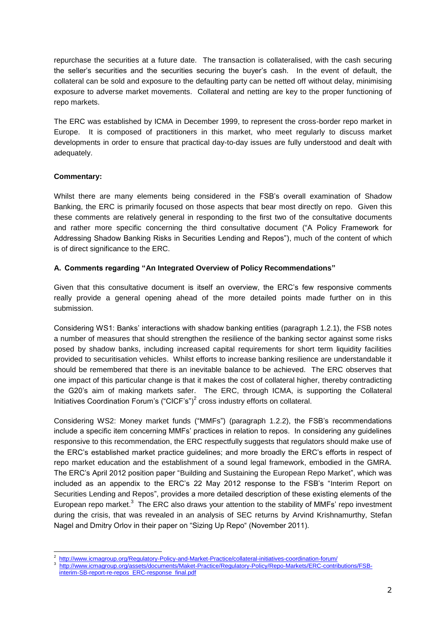repurchase the securities at a future date. The transaction is collateralised, with the cash securing the seller's securities and the securities securing the buyer's cash. In the event of default, the collateral can be sold and exposure to the defaulting party can be netted off without delay, minimising exposure to adverse market movements. Collateral and netting are key to the proper functioning of repo markets.

The ERC was established by ICMA in December 1999, to represent the cross-border repo market in Europe. It is composed of practitioners in this market, who meet regularly to discuss market developments in order to ensure that practical day-to-day issues are fully understood and dealt with adequately.

#### **Commentary:**

Whilst there are many elements being considered in the FSB's overall examination of Shadow Banking, the ERC is primarily focused on those aspects that bear most directly on repo. Given this these comments are relatively general in responding to the first two of the consultative documents and rather more specific concerning the third consultative document ("A Policy Framework for Addressing Shadow Banking Risks in Securities Lending and Repos"), much of the content of which is of direct significance to the ERC.

#### **A. Comments regarding "An Integrated Overview of Policy Recommendations"**

Given that this consultative document is itself an overview, the ERC's few responsive comments really provide a general opening ahead of the more detailed points made further on in this submission.

Considering WS1: Banks' interactions with shadow banking entities (paragraph 1.2.1), the FSB notes a number of measures that should strengthen the resilience of the banking sector against some risks posed by shadow banks, including increased capital requirements for short term liquidity facilities provided to securitisation vehicles. Whilst efforts to increase banking resilience are understandable it should be remembered that there is an inevitable balance to be achieved. The ERC observes that one impact of this particular change is that it makes the cost of collateral higher, thereby contradicting the G20's aim of making markets safer. The ERC, through ICMA, is supporting the Collateral Initiatives Coordination Forum's  $("CICF's")^2$  cross industry efforts on collateral.

Considering WS2: Money market funds ("MMFs") (paragraph 1.2.2), the FSB's recommendations include a specific item concerning MMFs' practices in relation to repos. In considering any guidelines responsive to this recommendation, the ERC respectfully suggests that regulators should make use of the ERC's established market practice guidelines; and more broadly the ERC's efforts in respect of repo market education and the establishment of a sound legal framework, embodied in the GMRA. The ERC's April 2012 position paper "Building and Sustaining the European Repo Market", which was included as an appendix to the ERC's 22 May 2012 response to the FSB's "Interim Report on Securities Lending and Repos", provides a more detailed description of these existing elements of the European repo market. $3$  The ERC also draws your attention to the stability of MMFs' repo investment during the crisis, that was revealed in an analysis of SEC returns by Arvind Krishnamurthy, Stefan Nagel and Dmitry Orlov in their paper on "Sizing Up Repo" (November 2011).

<sup>-</sup><sup>2</sup>http://www.icmagroup.org/Regulatory-Policy-and-Market-Practice/collateral-initiatives-coordination-forum/

<sup>3</sup>  [http://www.icmagroup.org/assets/documents/Maket-Practice/Regulatory-Policy/Repo-Markets/ERC-contributions/FSB](http://www.icmagroup.org/assets/documents/Maket-Practice/Regulatory-Policy/Repo-Markets/ERC-contributions/FSB-interim-SB-report-re-repos_ERC-response_final.pdf)[interim-SB-report-re-repos\\_ERC-response\\_final.pdf](http://www.icmagroup.org/assets/documents/Maket-Practice/Regulatory-Policy/Repo-Markets/ERC-contributions/FSB-interim-SB-report-re-repos_ERC-response_final.pdf)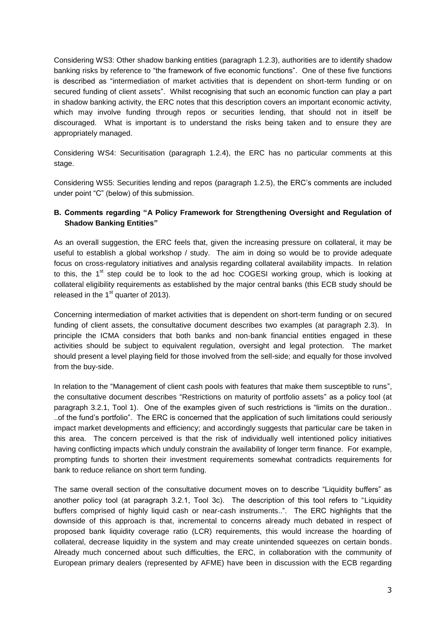Considering WS3: Other shadow banking entities (paragraph 1.2.3), authorities are to identify shadow banking risks by reference to "the framework of five economic functions". One of these five functions is described as "intermediation of market activities that is dependent on short-term funding or on secured funding of client assets". Whilst recognising that such an economic function can play a part in shadow banking activity, the ERC notes that this description covers an important economic activity, which may involve funding through repos or securities lending, that should not in itself be discouraged. What is important is to understand the risks being taken and to ensure they are appropriately managed.

Considering WS4: Securitisation (paragraph 1.2.4), the ERC has no particular comments at this stage.

Considering WS5: Securities lending and repos (paragraph 1.2.5), the ERC's comments are included under point "C" (below) of this submission.

#### **B. Comments regarding "A Policy Framework for Strengthening Oversight and Regulation of Shadow Banking Entities"**

As an overall suggestion, the ERC feels that, given the increasing pressure on collateral, it may be useful to establish a global workshop / study. The aim in doing so would be to provide adequate focus on cross-regulatory initiatives and analysis regarding collateral availability impacts. In relation to this, the  $1<sup>st</sup>$  step could be to look to the ad hoc COGESI working group, which is looking at collateral eligibility requirements as established by the major central banks (this ECB study should be released in the  $1<sup>st</sup>$  quarter of 2013).

Concerning intermediation of market activities that is dependent on short-term funding or on secured funding of client assets, the consultative document describes two examples (at paragraph 2.3). In principle the ICMA considers that both banks and non-bank financial entities engaged in these activities should be subject to equivalent regulation, oversight and legal protection. The market should present a level playing field for those involved from the sell-side; and equally for those involved from the buy-side.

In relation to the "Management of client cash pools with features that make them susceptible to runs", the consultative document describes "Restrictions on maturity of portfolio assets" as a policy tool (at paragraph 3.2.1, Tool 1). One of the examples given of such restrictions is "limits on the duration.. ..of the fund's portfolio". The ERC is concerned that the application of such limitations could seriously impact market developments and efficiency; and accordingly suggests that particular care be taken in this area. The concern perceived is that the risk of individually well intentioned policy initiatives having conflicting impacts which unduly constrain the availability of longer term finance. For example, prompting funds to shorten their investment requirements somewhat contradicts requirements for bank to reduce reliance on short term funding.

The same overall section of the consultative document moves on to describe "Liquidity buffers" as another policy tool (at paragraph 3.2.1, Tool 3c). The description of this tool refers to "Liquidity buffers comprised of highly liquid cash or near-cash instruments..". The ERC highlights that the downside of this approach is that, incremental to concerns already much debated in respect of proposed bank liquidity coverage ratio (LCR) requirements, this would increase the hoarding of collateral, decrease liquidity in the system and may create unintended squeezes on certain bonds. Already much concerned about such difficulties, the ERC, in collaboration with the community of European primary dealers (represented by AFME) have been in discussion with the ECB regarding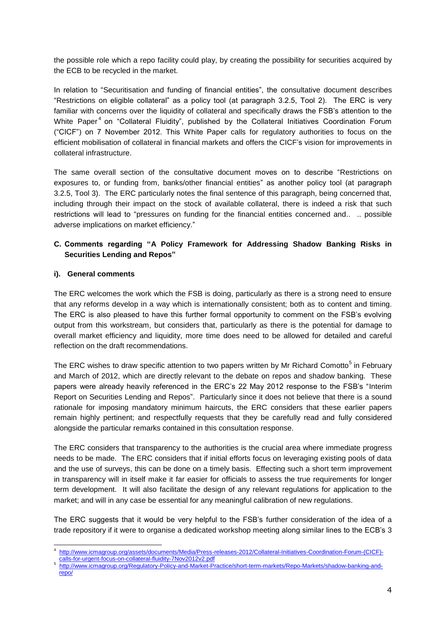the possible role which a repo facility could play, by creating the possibility for securities acquired by the ECB to be recycled in the market.

In relation to "Securitisation and funding of financial entities", the consultative document describes "Restrictions on eligible collateral" as a policy tool (at paragraph 3.2.5, Tool 2). The ERC is very familiar with concerns over the liquidity of collateral and specifically draws the FSB's attention to the White Paper<sup>4</sup> on "Collateral Fluidity", published by the Collateral Initiatives Coordination Forum ("CICF") on 7 November 2012. This White Paper calls for regulatory authorities to focus on the efficient mobilisation of collateral in financial markets and offers the CICF's vision for improvements in collateral infrastructure.

The same overall section of the consultative document moves on to describe "Restrictions on exposures to, or funding from, banks/other financial entities" as another policy tool (at paragraph 3.2.5, Tool 3). The ERC particularly notes the final sentence of this paragraph, being concerned that, including through their impact on the stock of available collateral, there is indeed a risk that such restrictions will lead to "pressures on funding for the financial entities concerned and.. .. possible adverse implications on market efficiency."

#### **C. Comments regarding "A Policy Framework for Addressing Shadow Banking Risks in Securities Lending and Repos"**

#### **i). General comments**

The ERC welcomes the work which the FSB is doing, particularly as there is a strong need to ensure that any reforms develop in a way which is internationally consistent; both as to content and timing. The ERC is also pleased to have this further formal opportunity to comment on the FSB's evolving output from this workstream, but considers that, particularly as there is the potential for damage to overall market efficiency and liquidity, more time does need to be allowed for detailed and careful reflection on the draft recommendations.

The ERC wishes to draw specific attention to two papers written by Mr Richard Comotto<sup>5</sup> in February and March of 2012, which are directly relevant to the debate on repos and shadow banking. These papers were already heavily referenced in the ERC's 22 May 2012 response to the FSB's "Interim Report on Securities Lending and Repos". Particularly since it does not believe that there is a sound rationale for imposing mandatory minimum haircuts, the ERC considers that these earlier papers remain highly pertinent; and respectfully requests that they be carefully read and fully considered alongside the particular remarks contained in this consultation response.

The ERC considers that transparency to the authorities is the crucial area where immediate progress needs to be made. The ERC considers that if initial efforts focus on leveraging existing pools of data and the use of surveys, this can be done on a timely basis. Effecting such a short term improvement in transparency will in itself make it far easier for officials to assess the true requirements for longer term development. It will also facilitate the design of any relevant regulations for application to the market; and will in any case be essential for any meaningful calibration of new regulations.

The ERC suggests that it would be very helpful to the FSB's further consideration of the idea of a trade repository if it were to organise a dedicated workshop meeting along similar lines to the ECB's 3

<sup>-</sup>4 [http://www.icmagroup.org/assets/documents/Media/Press-releases-2012/Collateral-Initiatives-Coordination-Forum-\(CICF\)](http://www.icmagroup.org/assets/documents/Media/Press-releases-2012/Collateral-Initiatives-Coordination-Forum-(CICF)-calls-for-urgent-focus-on-collateral-fluidity-7Nov2012v2.pdf) [calls-for-urgent-focus-on-collateral-fluidity-7Nov2012v2.pdf](http://www.icmagroup.org/assets/documents/Media/Press-releases-2012/Collateral-Initiatives-Coordination-Forum-(CICF)-calls-for-urgent-focus-on-collateral-fluidity-7Nov2012v2.pdf)

<sup>5</sup>  [http://www.icmagroup.org/Regulatory-Policy-and-Market-Practice/short-term-markets/Repo-Markets/shadow-banking-and](http://www.icmagroup.org/Regulatory-Policy-and-Market-Practice/short-term-markets/Repo-Markets/shadow-banking-and-repo/)[repo/](http://www.icmagroup.org/Regulatory-Policy-and-Market-Practice/short-term-markets/Repo-Markets/shadow-banking-and-repo/)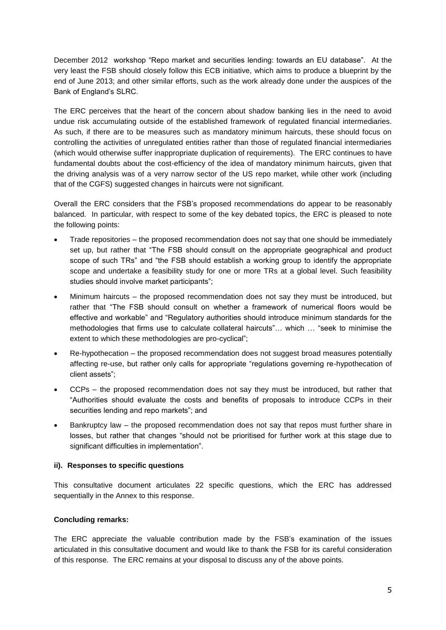December 2012 workshop "Repo market and securities lending: towards an EU database". At the very least the FSB should closely follow this ECB initiative, which aims to produce a blueprint by the end of June 2013; and other similar efforts, such as the work already done under the auspices of the Bank of England's SLRC.

The ERC perceives that the heart of the concern about shadow banking lies in the need to avoid undue risk accumulating outside of the established framework of regulated financial intermediaries. As such, if there are to be measures such as mandatory minimum haircuts, these should focus on controlling the activities of unregulated entities rather than those of regulated financial intermediaries (which would otherwise suffer inappropriate duplication of requirements). The ERC continues to have fundamental doubts about the cost-efficiency of the idea of mandatory minimum haircuts, given that the driving analysis was of a very narrow sector of the US repo market, while other work (including that of the CGFS) suggested changes in haircuts were not significant.

Overall the ERC considers that the FSB's proposed recommendations do appear to be reasonably balanced. In particular, with respect to some of the key debated topics, the ERC is pleased to note the following points:

- Trade repositories the proposed recommendation does not say that one should be immediately set up, but rather that "The FSB should consult on the appropriate geographical and product scope of such TRs" and "the FSB should establish a working group to identify the appropriate scope and undertake a feasibility study for one or more TRs at a global level. Such feasibility studies should involve market participants";
- Minimum haircuts the proposed recommendation does not say they must be introduced, but rather that "The FSB should consult on whether a framework of numerical floors would be effective and workable" and "Regulatory authorities should introduce minimum standards for the methodologies that firms use to calculate collateral haircuts"… which … "seek to minimise the extent to which these methodologies are pro-cyclical";
- Re-hypothecation the proposed recommendation does not suggest broad measures potentially affecting re-use, but rather only calls for appropriate "regulations governing re-hypothecation of client assets";
- CCPs the proposed recommendation does not say they must be introduced, but rather that "Authorities should evaluate the costs and benefits of proposals to introduce CCPs in their securities lending and repo markets"; and
- Bankruptcy law the proposed recommendation does not say that repos must further share in losses, but rather that changes "should not be prioritised for further work at this stage due to significant difficulties in implementation".

#### **ii). Responses to specific questions**

This consultative document articulates 22 specific questions, which the ERC has addressed sequentially in the Annex to this response.

#### **Concluding remarks:**

The ERC appreciate the valuable contribution made by the FSB's examination of the issues articulated in this consultative document and would like to thank the FSB for its careful consideration of this response. The ERC remains at your disposal to discuss any of the above points.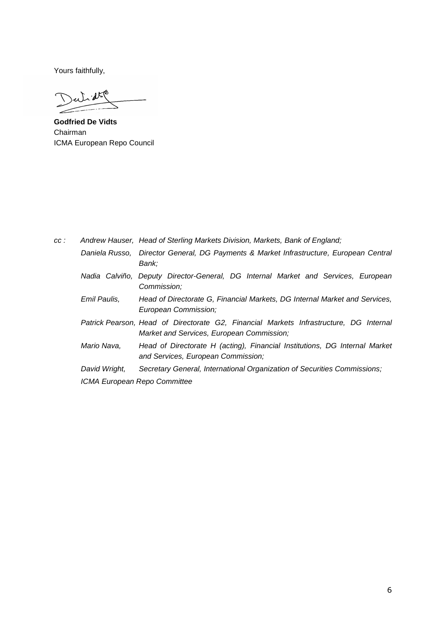Yours faithfully,

 $u^2$  at  $\ell$  $\mathcal{T}$ 

**Godfried De Vidts** Chairman ICMA European Repo Council

| cc: |               | Andrew Hauser, Head of Sterling Markets Division, Markets, Bank of England;                                                         |
|-----|---------------|-------------------------------------------------------------------------------------------------------------------------------------|
|     |               | Daniela Russo, Director General, DG Payments & Market Infrastructure, European Central<br>Bank:                                     |
|     |               | Nadia Calviño, Deputy Director-General, DG Internal Market and Services, European<br>Commission:                                    |
|     | Emil Paulis,  | Head of Directorate G, Financial Markets, DG Internal Market and Services,<br>European Commission;                                  |
|     |               | Patrick Pearson, Head of Directorate G2, Financial Markets Infrastructure, DG Internal<br>Market and Services, European Commission; |
|     | Mario Nava,   | Head of Directorate H (acting), Financial Institutions, DG Internal Market<br>and Services, European Commission;                    |
|     | David Wright, | Secretary General, International Organization of Securities Commissions;                                                            |
|     |               | ICMA European Repo Committee                                                                                                        |
|     |               |                                                                                                                                     |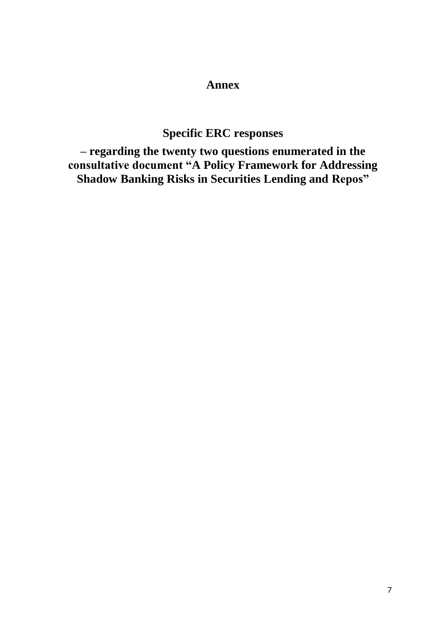# **Annex**

# **Specific ERC responses**

**– regarding the twenty two questions enumerated in the consultative document "A Policy Framework for Addressing Shadow Banking Risks in Securities Lending and Repos"**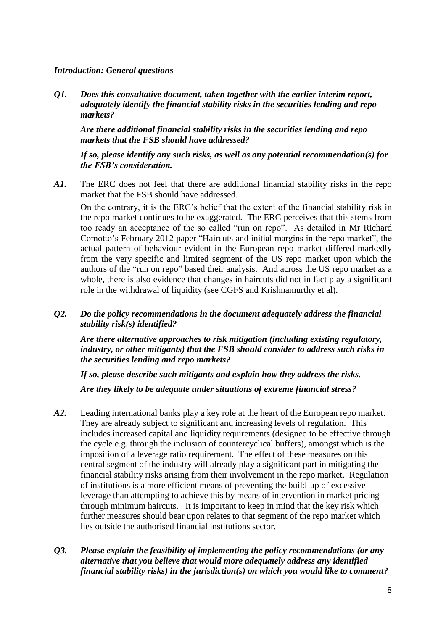## *Introduction: General questions*

*Q1. Does this consultative document, taken together with the earlier interim report, adequately identify the financial stability risks in the securities lending and repo markets?*

*Are there additional financial stability risks in the securities lending and repo markets that the FSB should have addressed?* 

*If so, please identify any such risks, as well as any potential recommendation(s) for the FSB's consideration.*

*A1.* The ERC does not feel that there are additional financial stability risks in the repo market that the FSB should have addressed.

On the contrary, it is the ERC's belief that the extent of the financial stability risk in the repo market continues to be exaggerated. The ERC perceives that this stems from too ready an acceptance of the so called "run on repo". As detailed in Mr Richard Comotto's February 2012 paper "Haircuts and initial margins in the repo market", the actual pattern of behaviour evident in the European repo market differed markedly from the very specific and limited segment of the US repo market upon which the authors of the "run on repo" based their analysis. And across the US repo market as a whole, there is also evidence that changes in haircuts did not in fact play a significant role in the withdrawal of liquidity (see CGFS and Krishnamurthy et al).

## *Q2. Do the policy recommendations in the document adequately address the financial stability risk(s) identified?*

*Are there alternative approaches to risk mitigation (including existing regulatory, industry, or other mitigants) that the FSB should consider to address such risks in the securities lending and repo markets?* 

*If so, please describe such mitigants and explain how they address the risks.* 

*Are they likely to be adequate under situations of extreme financial stress?*

- *A2.* Leading international banks play a key role at the heart of the European repo market. They are already subject to significant and increasing levels of regulation. This includes increased capital and liquidity requirements (designed to be effective through the cycle e.g. through the inclusion of countercyclical buffers), amongst which is the imposition of a leverage ratio requirement. The effect of these measures on this central segment of the industry will already play a significant part in mitigating the financial stability risks arising from their involvement in the repo market. Regulation of institutions is a more efficient means of preventing the build-up of excessive leverage than attempting to achieve this by means of intervention in market pricing through minimum haircuts. It is important to keep in mind that the key risk which further measures should bear upon relates to that segment of the repo market which lies outside the authorised financial institutions sector.
- *Q3. Please explain the feasibility of implementing the policy recommendations (or any alternative that you believe that would more adequately address any identified financial stability risks) in the jurisdiction(s) on which you would like to comment?*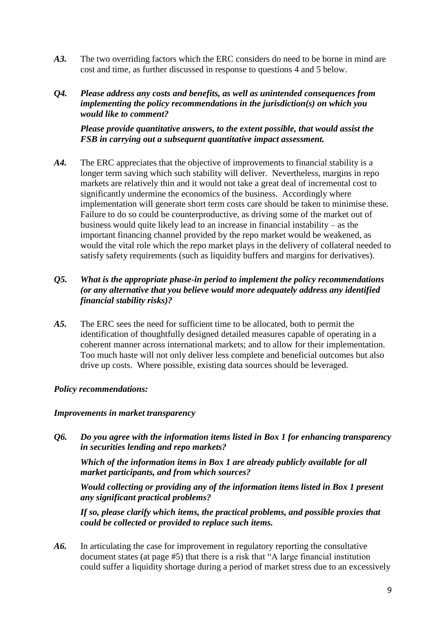- *A3.* The two overriding factors which the ERC considers do need to be borne in mind are cost and time, as further discussed in response to questions 4 and 5 below.
- *Q4. Please address any costs and benefits, as well as unintended consequences from implementing the policy recommendations in the jurisdiction(s) on which you would like to comment?*

*Please provide quantitative answers, to the extent possible, that would assist the FSB in carrying out a subsequent quantitative impact assessment.*

*A4.* The ERC appreciates that the objective of improvements to financial stability is a longer term saving which such stability will deliver. Nevertheless, margins in repo markets are relatively thin and it would not take a great deal of incremental cost to significantly undermine the economics of the business. Accordingly where implementation will generate short term costs care should be taken to minimise these. Failure to do so could be counterproductive, as driving some of the market out of business would quite likely lead to an increase in financial instability – as the important financing channel provided by the repo market would be weakened, as would the vital role which the repo market plays in the delivery of collateral needed to satisfy safety requirements (such as liquidity buffers and margins for derivatives).

## *Q5. What is the appropriate phase-in period to implement the policy recommendations (or any alternative that you believe would more adequately address any identified financial stability risks)?*

*A5.* The ERC sees the need for sufficient time to be allocated, both to permit the identification of thoughtfully designed detailed measures capable of operating in a coherent manner across international markets; and to allow for their implementation. Too much haste will not only deliver less complete and beneficial outcomes but also drive up costs. Where possible, existing data sources should be leveraged.

## *Policy recommendations:*

#### *Improvements in market transparency*

*Q6. Do you agree with the information items listed in Box 1 for enhancing transparency in securities lending and repo markets?* 

*Which of the information items in Box 1 are already publicly available for all market participants, and from which sources?* 

*Would collecting or providing any of the information items listed in Box 1 present any significant practical problems?* 

*If so, please clarify which items, the practical problems, and possible proxies that could be collected or provided to replace such items.*

*A6.* In articulating the case for improvement in regulatory reporting the consultative document states (at page #5) that there is a risk that "A large financial institution could suffer a liquidity shortage during a period of market stress due to an excessively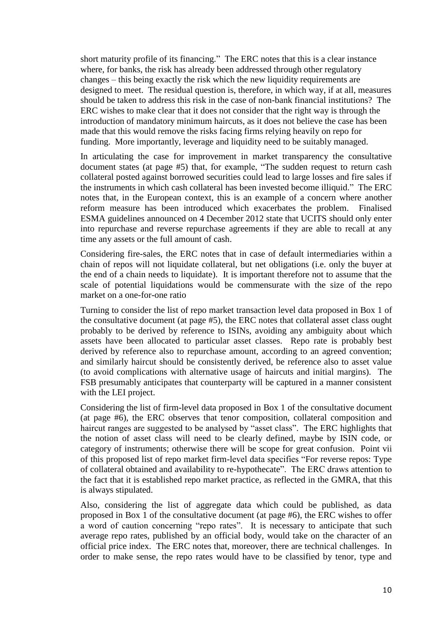short maturity profile of its financing." The ERC notes that this is a clear instance where, for banks, the risk has already been addressed through other regulatory changes – this being exactly the risk which the new liquidity requirements are designed to meet. The residual question is, therefore, in which way, if at all, measures should be taken to address this risk in the case of non-bank financial institutions? The ERC wishes to make clear that it does not consider that the right way is through the introduction of mandatory minimum haircuts, as it does not believe the case has been made that this would remove the risks facing firms relying heavily on repo for funding. More importantly, leverage and liquidity need to be suitably managed.

In articulating the case for improvement in market transparency the consultative document states (at page #5) that, for example, "The sudden request to return cash collateral posted against borrowed securities could lead to large losses and fire sales if the instruments in which cash collateral has been invested become illiquid." The ERC notes that, in the European context, this is an example of a concern where another reform measure has been introduced which exacerbates the problem. Finalised ESMA guidelines announced on 4 December 2012 state that UCITS should only enter into repurchase and reverse repurchase agreements if they are able to recall at any time any assets or the full amount of cash.

Considering fire-sales, the ERC notes that in case of default intermediaries within a chain of repos will not liquidate collateral, but net obligations (i.e. only the buyer at the end of a chain needs to liquidate). It is important therefore not to assume that the scale of potential liquidations would be commensurate with the size of the repo market on a one-for-one ratio

Turning to consider the list of repo market transaction level data proposed in Box 1 of the consultative document (at page #5), the ERC notes that collateral asset class ought probably to be derived by reference to ISINs, avoiding any ambiguity about which assets have been allocated to particular asset classes. Repo rate is probably best derived by reference also to repurchase amount, according to an agreed convention; and similarly haircut should be consistently derived, be reference also to asset value (to avoid complications with alternative usage of haircuts and initial margins). The FSB presumably anticipates that counterparty will be captured in a manner consistent with the LEI project.

Considering the list of firm-level data proposed in Box 1 of the consultative document (at page #6), the ERC observes that tenor composition, collateral composition and haircut ranges are suggested to be analysed by "asset class". The ERC highlights that the notion of asset class will need to be clearly defined, maybe by ISIN code, or category of instruments; otherwise there will be scope for great confusion. Point vii of this proposed list of repo market firm-level data specifies "For reverse repos: Type of collateral obtained and availability to re-hypothecate". The ERC draws attention to the fact that it is established repo market practice, as reflected in the GMRA, that this is always stipulated.

Also, considering the list of aggregate data which could be published, as data proposed in Box 1 of the consultative document (at page #6), the ERC wishes to offer a word of caution concerning "repo rates". It is necessary to anticipate that such average repo rates, published by an official body, would take on the character of an official price index. The ERC notes that, moreover, there are technical challenges. In order to make sense, the repo rates would have to be classified by tenor, type and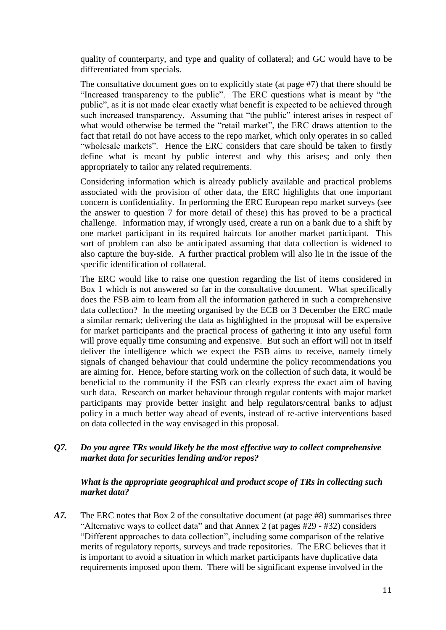quality of counterparty, and type and quality of collateral; and GC would have to be differentiated from specials.

The consultative document goes on to explicitly state (at page #7) that there should be "Increased transparency to the public". The ERC questions what is meant by "the public", as it is not made clear exactly what benefit is expected to be achieved through such increased transparency. Assuming that "the public" interest arises in respect of what would otherwise be termed the "retail market", the ERC draws attention to the fact that retail do not have access to the repo market, which only operates in so called "wholesale markets". Hence the ERC considers that care should be taken to firstly define what is meant by public interest and why this arises; and only then appropriately to tailor any related requirements.

Considering information which is already publicly available and practical problems associated with the provision of other data, the ERC highlights that one important concern is confidentiality. In performing the ERC European repo market surveys (see the answer to question 7 for more detail of these) this has proved to be a practical challenge. Information may, if wrongly used, create a run on a bank due to a shift by one market participant in its required haircuts for another market participant. This sort of problem can also be anticipated assuming that data collection is widened to also capture the buy-side. A further practical problem will also lie in the issue of the specific identification of collateral.

The ERC would like to raise one question regarding the list of items considered in Box 1 which is not answered so far in the consultative document. What specifically does the FSB aim to learn from all the information gathered in such a comprehensive data collection? In the meeting organised by the ECB on 3 December the ERC made a similar remark; delivering the data as highlighted in the proposal will be expensive for market participants and the practical process of gathering it into any useful form will prove equally time consuming and expensive. But such an effort will not in itself deliver the intelligence which we expect the FSB aims to receive, namely timely signals of changed behaviour that could undermine the policy recommendations you are aiming for. Hence, before starting work on the collection of such data, it would be beneficial to the community if the FSB can clearly express the exact aim of having such data. Research on market behaviour through regular contents with major market participants may provide better insight and help regulators/central banks to adjust policy in a much better way ahead of events, instead of re-active interventions based on data collected in the way envisaged in this proposal.

*Q7. Do you agree TRs would likely be the most effective way to collect comprehensive market data for securities lending and/or repos?*

## *What is the appropriate geographical and product scope of TRs in collecting such market data?*

*A7.* The ERC notes that Box 2 of the consultative document (at page #8) summarises three "Alternative ways to collect data" and that Annex 2 (at pages #29 - #32) considers "Different approaches to data collection", including some comparison of the relative merits of regulatory reports, surveys and trade repositories. The ERC believes that it is important to avoid a situation in which market participants have duplicative data requirements imposed upon them. There will be significant expense involved in the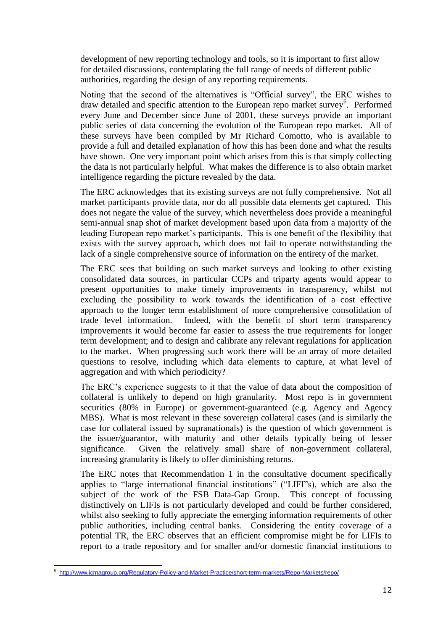development of new reporting technology and tools, so it is important to first allow for detailed discussions, contemplating the full range of needs of different public authorities, regarding the design of any reporting requirements.

Noting that the second of the alternatives is "Official survey", the ERC wishes to draw detailed and specific attention to the European repo market survey<sup>6</sup>. Performed every June and December since June of 2001, these surveys provide an important public series of data concerning the evolution of the European repo market. All of these surveys have been compiled by Mr Richard Comotto, who is available to provide a full and detailed explanation of how this has been done and what the results have shown. One very important point which arises from this is that simply collecting the data is not particularly helpful. What makes the difference is to also obtain market intelligence regarding the picture revealed by the data.

The ERC acknowledges that its existing surveys are not fully comprehensive. Not all market participants provide data, nor do all possible data elements get captured. This does not negate the value of the survey, which nevertheless does provide a meaningful semi-annual snap shot of market development based upon data from a majority of the leading European repo market's participants. This is one benefit of the flexibility that exists with the survey approach, which does not fail to operate notwithstanding the lack of a single comprehensive source of information on the entirety of the market.

The ERC sees that building on such market surveys and looking to other existing consolidated data sources, in particular CCPs and triparty agents would appear to present opportunities to make timely improvements in transparency, whilst not excluding the possibility to work towards the identification of a cost effective approach to the longer term establishment of more comprehensive consolidation of trade level information. Indeed, with the benefit of short term transparency improvements it would become far easier to assess the true requirements for longer term development; and to design and calibrate any relevant regulations for application to the market. When progressing such work there will be an array of more detailed questions to resolve, including which data elements to capture, at what level of aggregation and with which periodicity?

The ERC's experience suggests to it that the value of data about the composition of collateral is unlikely to depend on high granularity. Most repo is in government securities (80% in Europe) or government-guaranteed (e.g. Agency and Agency MBS). What is most relevant in these sovereign collateral cases (and is similarly the case for collateral issued by supranationals) is the question of which government is the issuer/guarantor, with maturity and other details typically being of lesser significance. Given the relatively small share of non-government collateral, increasing granularity is likely to offer diminishing returns.

The ERC notes that Recommendation 1 in the consultative document specifically applies to "large international financial institutions" ("LIFI"s), which are also the subject of the work of the FSB Data-Gap Group. This concept of focussing distinctively on LIFIs is not particularly developed and could be further considered, whilst also seeking to fully appreciate the emerging information requirements of other public authorities, including central banks. Considering the entity coverage of a potential TR, the ERC observes that an efficient compromise might be for LIFIs to report to a trade repository and for smaller and/or domestic financial institutions to

<sup>-</sup>6 <http://www.icmagroup.org/Regulatory-Policy-and-Market-Practice/short-term-markets/Repo-Markets/repo/>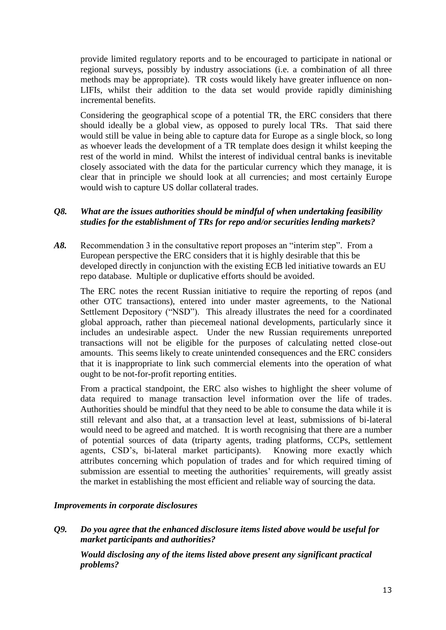provide limited regulatory reports and to be encouraged to participate in national or regional surveys, possibly by industry associations (i.e. a combination of all three methods may be appropriate). TR costs would likely have greater influence on non-LIFIs, whilst their addition to the data set would provide rapidly diminishing incremental benefits.

Considering the geographical scope of a potential TR, the ERC considers that there should ideally be a global view, as opposed to purely local TRs. That said there would still be value in being able to capture data for Europe as a single block, so long as whoever leads the development of a TR template does design it whilst keeping the rest of the world in mind. Whilst the interest of individual central banks is inevitable closely associated with the data for the particular currency which they manage, it is clear that in principle we should look at all currencies; and most certainly Europe would wish to capture US dollar collateral trades.

## *Q8. What are the issues authorities should be mindful of when undertaking feasibility studies for the establishment of TRs for repo and/or securities lending markets?*

*A8.* Recommendation 3 in the consultative report proposes an "interim step". From a European perspective the ERC considers that it is highly desirable that this be developed directly in conjunction with the existing ECB led initiative towards an EU repo database. Multiple or duplicative efforts should be avoided.

The ERC notes the recent Russian initiative to require the reporting of repos (and other OTC transactions), entered into under master agreements, to the National Settlement Depository ("NSD"). This already illustrates the need for a coordinated global approach, rather than piecemeal national developments, particularly since it includes an undesirable aspect. Under the new Russian requirements unreported transactions will not be eligible for the purposes of calculating netted close-out amounts. This seems likely to create unintended consequences and the ERC considers that it is inappropriate to link such commercial elements into the operation of what ought to be not-for-profit reporting entities.

From a practical standpoint, the ERC also wishes to highlight the sheer volume of data required to manage transaction level information over the life of trades. Authorities should be mindful that they need to be able to consume the data while it is still relevant and also that, at a transaction level at least, submissions of bi-lateral would need to be agreed and matched. It is worth recognising that there are a number of potential sources of data (triparty agents, trading platforms, CCPs, settlement agents, CSD's, bi-lateral market participants). Knowing more exactly which attributes concerning which population of trades and for which required timing of submission are essential to meeting the authorities' requirements, will greatly assist the market in establishing the most efficient and reliable way of sourcing the data.

#### *Improvements in corporate disclosures*

*Q9. Do you agree that the enhanced disclosure items listed above would be useful for market participants and authorities?* 

*Would disclosing any of the items listed above present any significant practical problems?*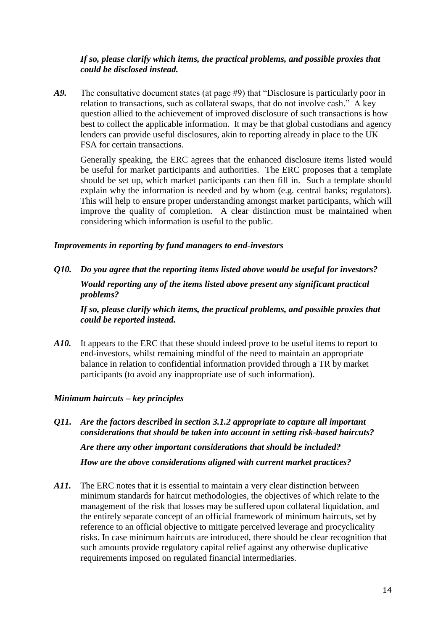## *If so, please clarify which items, the practical problems, and possible proxies that could be disclosed instead.*

*A9.* The consultative document states (at page #9) that "Disclosure is particularly poor in relation to transactions, such as collateral swaps, that do not involve cash." A key question allied to the achievement of improved disclosure of such transactions is how best to collect the applicable information. It may be that global custodians and agency lenders can provide useful disclosures, akin to reporting already in place to the UK FSA for certain transactions.

Generally speaking, the ERC agrees that the enhanced disclosure items listed would be useful for market participants and authorities. The ERC proposes that a template should be set up, which market participants can then fill in. Such a template should explain why the information is needed and by whom (e.g. central banks; regulators). This will help to ensure proper understanding amongst market participants, which will improve the quality of completion. A clear distinction must be maintained when considering which information is useful to the public.

#### *Improvements in reporting by fund managers to end-investors*

*Q10. Do you agree that the reporting items listed above would be useful for investors? Would reporting any of the items listed above present any significant practical problems?* 

*If so, please clarify which items, the practical problems, and possible proxies that could be reported instead.*

*A10.* It appears to the ERC that these should indeed prove to be useful items to report to end-investors, whilst remaining mindful of the need to maintain an appropriate balance in relation to confidential information provided through a TR by market participants (to avoid any inappropriate use of such information).

## *Minimum haircuts – key principles*

- *Q11. Are the factors described in section 3.1.2 appropriate to capture all important considerations that should be taken into account in setting risk-based haircuts? Are there any other important considerations that should be included? How are the above considerations aligned with current market practices?*
- A11. The ERC notes that it is essential to maintain a very clear distinction between minimum standards for haircut methodologies, the objectives of which relate to the management of the risk that losses may be suffered upon collateral liquidation, and the entirely separate concept of an official framework of minimum haircuts, set by reference to an official objective to mitigate perceived leverage and procyclicality risks. In case minimum haircuts are introduced, there should be clear recognition that such amounts provide regulatory capital relief against any otherwise duplicative requirements imposed on regulated financial intermediaries.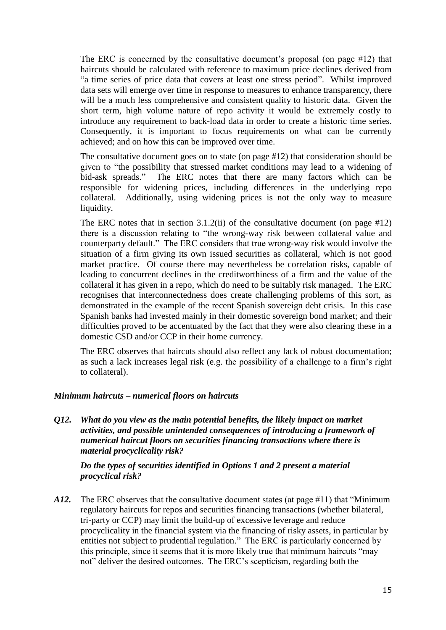The ERC is concerned by the consultative document's proposal (on page #12) that haircuts should be calculated with reference to maximum price declines derived from "a time series of price data that covers at least one stress period". Whilst improved data sets will emerge over time in response to measures to enhance transparency, there will be a much less comprehensive and consistent quality to historic data. Given the short term, high volume nature of repo activity it would be extremely costly to introduce any requirement to back-load data in order to create a historic time series. Consequently, it is important to focus requirements on what can be currently achieved; and on how this can be improved over time.

The consultative document goes on to state (on page #12) that consideration should be given to "the possibility that stressed market conditions may lead to a widening of bid-ask spreads." The ERC notes that there are many factors which can be responsible for widening prices, including differences in the underlying repo collateral. Additionally, using widening prices is not the only way to measure liquidity.

The ERC notes that in section 3.1.2(ii) of the consultative document (on page #12) there is a discussion relating to "the wrong-way risk between collateral value and counterparty default." The ERC considers that true wrong-way risk would involve the situation of a firm giving its own issued securities as collateral, which is not good market practice. Of course there may nevertheless be correlation risks, capable of leading to concurrent declines in the creditworthiness of a firm and the value of the collateral it has given in a repo, which do need to be suitably risk managed. The ERC recognises that interconnectedness does create challenging problems of this sort, as demonstrated in the example of the recent Spanish sovereign debt crisis. In this case Spanish banks had invested mainly in their domestic sovereign bond market; and their difficulties proved to be accentuated by the fact that they were also clearing these in a domestic CSD and/or CCP in their home currency.

The ERC observes that haircuts should also reflect any lack of robust documentation; as such a lack increases legal risk (e.g. the possibility of a challenge to a firm's right to collateral).

#### *Minimum haircuts – numerical floors on haircuts*

*Q12. What do you view as the main potential benefits, the likely impact on market activities, and possible unintended consequences of introducing a framework of numerical haircut floors on securities financing transactions where there is material procyclicality risk?* 

*Do the types of securities identified in Options 1 and 2 present a material procyclical risk?*

*A12.* The ERC observes that the consultative document states (at page #11) that "Minimum regulatory haircuts for repos and securities financing transactions (whether bilateral, tri-party or CCP) may limit the build-up of excessive leverage and reduce procyclicality in the financial system via the financing of risky assets, in particular by entities not subject to prudential regulation." The ERC is particularly concerned by this principle, since it seems that it is more likely true that minimum haircuts "may not" deliver the desired outcomes. The ERC's scepticism, regarding both the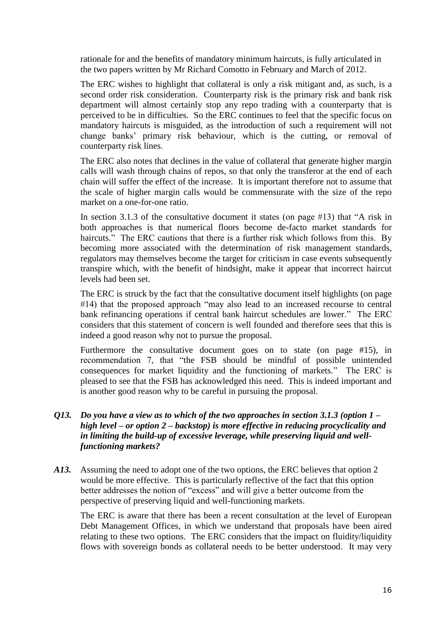rationale for and the benefits of mandatory minimum haircuts, is fully articulated in the two papers written by Mr Richard Comotto in February and March of 2012.

The ERC wishes to highlight that collateral is only a risk mitigant and, as such, is a second order risk consideration. Counterparty risk is the primary risk and bank risk department will almost certainly stop any repo trading with a counterparty that is perceived to be in difficulties. So the ERC continues to feel that the specific focus on mandatory haircuts is misguided, as the introduction of such a requirement will not change banks' primary risk behaviour, which is the cutting, or removal of counterparty risk lines.

The ERC also notes that declines in the value of collateral that generate higher margin calls will wash through chains of repos, so that only the transferor at the end of each chain will suffer the effect of the increase. It is important therefore not to assume that the scale of higher margin calls would be commensurate with the size of the repo market on a one-for-one ratio.

In section 3.1.3 of the consultative document it states (on page #13) that "A risk in both approaches is that numerical floors become de-facto market standards for haircuts." The ERC cautions that there is a further risk which follows from this. By becoming more associated with the determination of risk management standards, regulators may themselves become the target for criticism in case events subsequently transpire which, with the benefit of hindsight, make it appear that incorrect haircut levels had been set.

The ERC is struck by the fact that the consultative document itself highlights (on page #14) that the proposed approach "may also lead to an increased recourse to central bank refinancing operations if central bank haircut schedules are lower." The ERC considers that this statement of concern is well founded and therefore sees that this is indeed a good reason why not to pursue the proposal.

Furthermore the consultative document goes on to state (on page #15), in recommendation 7, that "the FSB should be mindful of possible unintended consequences for market liquidity and the functioning of markets." The ERC is pleased to see that the FSB has acknowledged this need. This is indeed important and is another good reason why to be careful in pursuing the proposal.

## *Q13. Do you have a view as to which of the two approaches in section 3.1.3 (option 1 – high level – or option 2 – backstop) is more effective in reducing procyclicality and in limiting the build-up of excessive leverage, while preserving liquid and wellfunctioning markets?*

*A13.* Assuming the need to adopt one of the two options, the ERC believes that option 2 would be more effective. This is particularly reflective of the fact that this option better addresses the notion of "excess" and will give a better outcome from the perspective of preserving liquid and well-functioning markets.

The ERC is aware that there has been a recent consultation at the level of European Debt Management Offices, in which we understand that proposals have been aired relating to these two options. The ERC considers that the impact on fluidity/liquidity flows with sovereign bonds as collateral needs to be better understood. It may very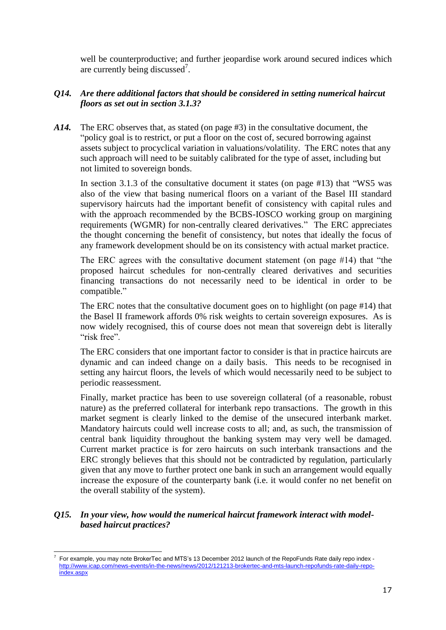well be counterproductive; and further jeopardise work around secured indices which are currently being discussed<sup>7</sup>.

## *Q14. Are there additional factors that should be considered in setting numerical haircut floors as set out in section 3.1.3?*

*A14.* The ERC observes that, as stated (on page #3) in the consultative document, the "policy goal is to restrict, or put a floor on the cost of, secured borrowing against assets subject to procyclical variation in valuations/volatility. The ERC notes that any such approach will need to be suitably calibrated for the type of asset, including but not limited to sovereign bonds.

In section 3.1.3 of the consultative document it states (on page #13) that "WS5 was also of the view that basing numerical floors on a variant of the Basel III standard supervisory haircuts had the important benefit of consistency with capital rules and with the approach recommended by the BCBS-IOSCO working group on margining requirements (WGMR) for non-centrally cleared derivatives." The ERC appreciates the thought concerning the benefit of consistency, but notes that ideally the focus of any framework development should be on its consistency with actual market practice.

The ERC agrees with the consultative document statement (on page #14) that "the proposed haircut schedules for non-centrally cleared derivatives and securities financing transactions do not necessarily need to be identical in order to be compatible."

The ERC notes that the consultative document goes on to highlight (on page #14) that the Basel II framework affords 0% risk weights to certain sovereign exposures. As is now widely recognised, this of course does not mean that sovereign debt is literally "risk free".

The ERC considers that one important factor to consider is that in practice haircuts are dynamic and can indeed change on a daily basis. This needs to be recognised in setting any haircut floors, the levels of which would necessarily need to be subject to periodic reassessment.

Finally, market practice has been to use sovereign collateral (of a reasonable, robust nature) as the preferred collateral for interbank repo transactions. The growth in this market segment is clearly linked to the demise of the unsecured interbank market. Mandatory haircuts could well increase costs to all; and, as such, the transmission of central bank liquidity throughout the banking system may very well be damaged. Current market practice is for zero haircuts on such interbank transactions and the ERC strongly believes that this should not be contradicted by regulation, particularly given that any move to further protect one bank in such an arrangement would equally increase the exposure of the counterparty bank (i.e. it would confer no net benefit on the overall stability of the system).

## *Q15. In your view, how would the numerical haircut framework interact with modelbased haircut practices?*

<sup>-</sup>7 For example, you may note BrokerTec and MTS's 13 December 2012 launch of the RepoFunds Rate daily repo index [http://www.icap.com/news-events/in-the-news/news/2012/121213-brokertec-and-mts-launch-repofunds-rate-daily-repo](http://www.icap.com/news-events/in-the-news/news/2012/121213-brokertec-and-mts-launch-repofunds-rate-daily-repo-index.aspx)[index.aspx](http://www.icap.com/news-events/in-the-news/news/2012/121213-brokertec-and-mts-launch-repofunds-rate-daily-repo-index.aspx)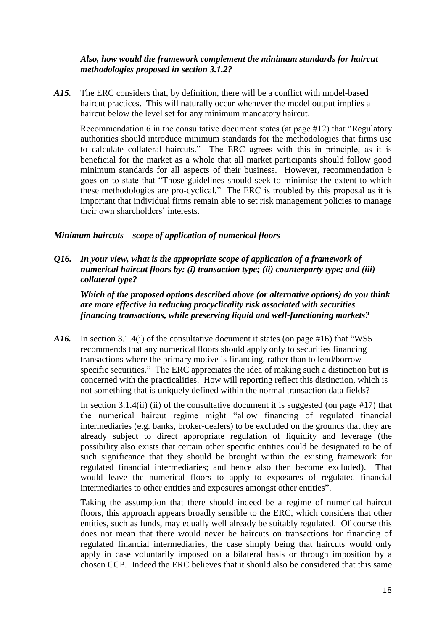## *Also, how would the framework complement the minimum standards for haircut methodologies proposed in section 3.1.2?*

*A15.* The ERC considers that, by definition, there will be a conflict with model-based haircut practices. This will naturally occur whenever the model output implies a haircut below the level set for any minimum mandatory haircut.

Recommendation 6 in the consultative document states (at page #12) that "Regulatory authorities should introduce minimum standards for the methodologies that firms use to calculate collateral haircuts." The ERC agrees with this in principle, as it is beneficial for the market as a whole that all market participants should follow good minimum standards for all aspects of their business. However, recommendation 6 goes on to state that "Those guidelines should seek to minimise the extent to which these methodologies are pro-cyclical." The ERC is troubled by this proposal as it is important that individual firms remain able to set risk management policies to manage their own shareholders' interests.

## *Minimum haircuts – scope of application of numerical floors*

*Q16. In your view, what is the appropriate scope of application of a framework of numerical haircut floors by: (i) transaction type; (ii) counterparty type; and (iii) collateral type?* 

*Which of the proposed options described above (or alternative options) do you think are more effective in reducing procyclicality risk associated with securities financing transactions, while preserving liquid and well-functioning markets?*

*A16.* In section 3.1.4(i) of the consultative document it states (on page #16) that "WS5 recommends that any numerical floors should apply only to securities financing transactions where the primary motive is financing, rather than to lend/borrow specific securities." The ERC appreciates the idea of making such a distinction but is concerned with the practicalities. How will reporting reflect this distinction, which is not something that is uniquely defined within the normal transaction data fields?

In section 3.1.4(ii) (ii) of the consultative document it is suggested (on page  $#17$ ) that the numerical haircut regime might "allow financing of regulated financial intermediaries (e.g. banks, broker-dealers) to be excluded on the grounds that they are already subject to direct appropriate regulation of liquidity and leverage (the possibility also exists that certain other specific entities could be designated to be of such significance that they should be brought within the existing framework for regulated financial intermediaries; and hence also then become excluded). That would leave the numerical floors to apply to exposures of regulated financial intermediaries to other entities and exposures amongst other entities".

Taking the assumption that there should indeed be a regime of numerical haircut floors, this approach appears broadly sensible to the ERC, which considers that other entities, such as funds, may equally well already be suitably regulated. Of course this does not mean that there would never be haircuts on transactions for financing of regulated financial intermediaries, the case simply being that haircuts would only apply in case voluntarily imposed on a bilateral basis or through imposition by a chosen CCP. Indeed the ERC believes that it should also be considered that this same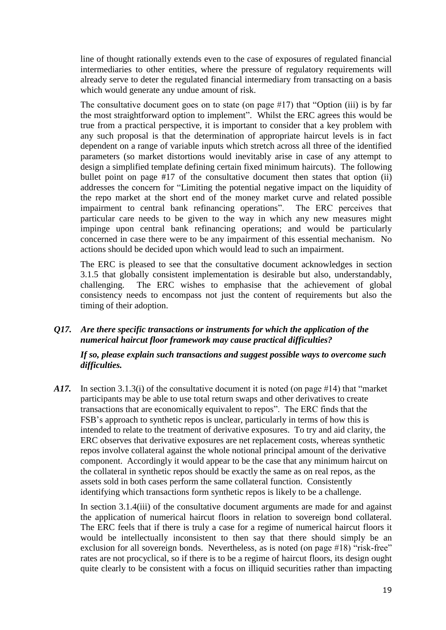line of thought rationally extends even to the case of exposures of regulated financial intermediaries to other entities, where the pressure of regulatory requirements will already serve to deter the regulated financial intermediary from transacting on a basis which would generate any undue amount of risk.

The consultative document goes on to state (on page #17) that "Option (iii) is by far the most straightforward option to implement". Whilst the ERC agrees this would be true from a practical perspective, it is important to consider that a key problem with any such proposal is that the determination of appropriate haircut levels is in fact dependent on a range of variable inputs which stretch across all three of the identified parameters (so market distortions would inevitably arise in case of any attempt to design a simplified template defining certain fixed minimum haircuts). The following bullet point on page #17 of the consultative document then states that option (ii) addresses the concern for "Limiting the potential negative impact on the liquidity of the repo market at the short end of the money market curve and related possible impairment to central bank refinancing operations". The ERC perceives that particular care needs to be given to the way in which any new measures might impinge upon central bank refinancing operations; and would be particularly concerned in case there were to be any impairment of this essential mechanism. No actions should be decided upon which would lead to such an impairment.

The ERC is pleased to see that the consultative document acknowledges in section 3.1.5 that globally consistent implementation is desirable but also, understandably, challenging. The ERC wishes to emphasise that the achievement of global consistency needs to encompass not just the content of requirements but also the timing of their adoption.

*Q17. Are there specific transactions or instruments for which the application of the numerical haircut floor framework may cause practical difficulties?* 

*If so, please explain such transactions and suggest possible ways to overcome such difficulties.*

*A17.* In section 3.1.3(i) of the consultative document it is noted (on page #14) that "market participants may be able to use total return swaps and other derivatives to create transactions that are economically equivalent to repos". The ERC finds that the FSB's approach to synthetic repos is unclear, particularly in terms of how this is intended to relate to the treatment of derivative exposures. To try and aid clarity, the ERC observes that derivative exposures are net replacement costs, whereas synthetic repos involve collateral against the whole notional principal amount of the derivative component. Accordingly it would appear to be the case that any minimum haircut on the collateral in synthetic repos should be exactly the same as on real repos, as the assets sold in both cases perform the same collateral function. Consistently identifying which transactions form synthetic repos is likely to be a challenge.

In section 3.1.4(iii) of the consultative document arguments are made for and against the application of numerical haircut floors in relation to sovereign bond collateral. The ERC feels that if there is truly a case for a regime of numerical haircut floors it would be intellectually inconsistent to then say that there should simply be an exclusion for all sovereign bonds. Nevertheless, as is noted (on page #18) "risk-free" rates are not procyclical, so if there is to be a regime of haircut floors, its design ought quite clearly to be consistent with a focus on illiquid securities rather than impacting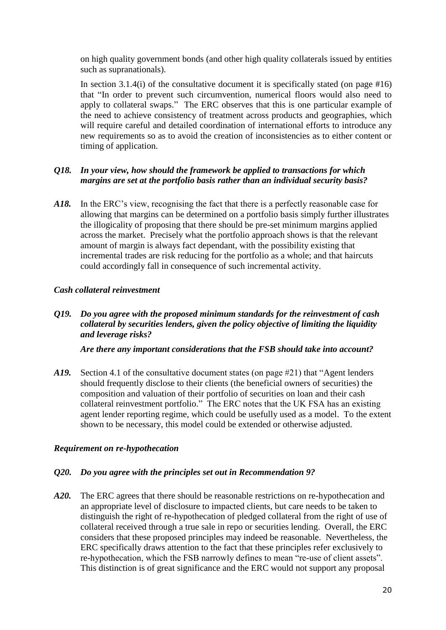on high quality government bonds (and other high quality collaterals issued by entities such as supranationals).

In section 3.1.4(i) of the consultative document it is specifically stated (on page  $#16$ ) that "In order to prevent such circumvention, numerical floors would also need to apply to collateral swaps." The ERC observes that this is one particular example of the need to achieve consistency of treatment across products and geographies, which will require careful and detailed coordination of international efforts to introduce any new requirements so as to avoid the creation of inconsistencies as to either content or timing of application.

## *Q18. In your view, how should the framework be applied to transactions for which margins are set at the portfolio basis rather than an individual security basis?*

*A18.* In the ERC's view, recognising the fact that there is a perfectly reasonable case for allowing that margins can be determined on a portfolio basis simply further illustrates the illogicality of proposing that there should be pre-set minimum margins applied across the market. Precisely what the portfolio approach shows is that the relevant amount of margin is always fact dependant, with the possibility existing that incremental trades are risk reducing for the portfolio as a whole; and that haircuts could accordingly fall in consequence of such incremental activity.

## *Cash collateral reinvestment*

*Q19. Do you agree with the proposed minimum standards for the reinvestment of cash collateral by securities lenders, given the policy objective of limiting the liquidity and leverage risks?* 

*Are there any important considerations that the FSB should take into account?*

A19. Section 4.1 of the consultative document states (on page #21) that "Agent lenders" should frequently disclose to their clients (the beneficial owners of securities) the composition and valuation of their portfolio of securities on loan and their cash collateral reinvestment portfolio." The ERC notes that the UK FSA has an existing agent lender reporting regime, which could be usefully used as a model. To the extent shown to be necessary, this model could be extended or otherwise adjusted.

## *Requirement on re-hypothecation*

## *Q20. Do you agree with the principles set out in Recommendation 9?*

*A20.* The ERC agrees that there should be reasonable restrictions on re-hypothecation and an appropriate level of disclosure to impacted clients, but care needs to be taken to distinguish the right of re-hypothecation of pledged collateral from the right of use of collateral received through a true sale in repo or securities lending. Overall, the ERC considers that these proposed principles may indeed be reasonable. Nevertheless, the ERC specifically draws attention to the fact that these principles refer exclusively to re-hypothecation, which the FSB narrowly defines to mean "re-use of client assets". This distinction is of great significance and the ERC would not support any proposal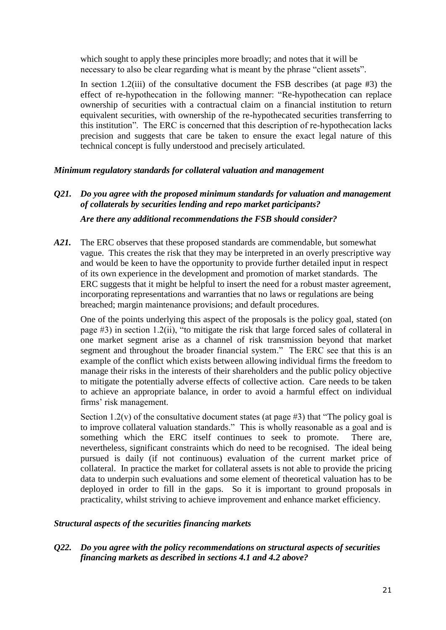which sought to apply these principles more broadly; and notes that it will be necessary to also be clear regarding what is meant by the phrase "client assets".

In section 1.2(iii) of the consultative document the FSB describes (at page  $#3$ ) the effect of re-hypothecation in the following manner: "Re-hypothecation can replace ownership of securities with a contractual claim on a financial institution to return equivalent securities, with ownership of the re-hypothecated securities transferring to this institution". The ERC is concerned that this description of re-hypothecation lacks precision and suggests that care be taken to ensure the exact legal nature of this technical concept is fully understood and precisely articulated.

## *Minimum regulatory standards for collateral valuation and management*

# *Q21. Do you agree with the proposed minimum standards for valuation and management of collaterals by securities lending and repo market participants? Are there any additional recommendations the FSB should consider?*

*A21.* The ERC observes that these proposed standards are commendable, but somewhat vague. This creates the risk that they may be interpreted in an overly prescriptive way and would be keen to have the opportunity to provide further detailed input in respect of its own experience in the development and promotion of market standards. The ERC suggests that it might be helpful to insert the need for a robust master agreement, incorporating representations and warranties that no laws or regulations are being breached; margin maintenance provisions; and default procedures.

One of the points underlying this aspect of the proposals is the policy goal, stated (on page #3) in section 1.2(ii), "to mitigate the risk that large forced sales of collateral in one market segment arise as a channel of risk transmission beyond that market segment and throughout the broader financial system." The ERC see that this is an example of the conflict which exists between allowing individual firms the freedom to manage their risks in the interests of their shareholders and the public policy objective to mitigate the potentially adverse effects of collective action. Care needs to be taken to achieve an appropriate balance, in order to avoid a harmful effect on individual firms' risk management.

Section 1.2(v) of the consultative document states (at page  $#3$ ) that "The policy goal is to improve collateral valuation standards." This is wholly reasonable as a goal and is something which the ERC itself continues to seek to promote. There are, nevertheless, significant constraints which do need to be recognised. The ideal being pursued is daily (if not continuous) evaluation of the current market price of collateral. In practice the market for collateral assets is not able to provide the pricing data to underpin such evaluations and some element of theoretical valuation has to be deployed in order to fill in the gaps. So it is important to ground proposals in practicality, whilst striving to achieve improvement and enhance market efficiency.

## *Structural aspects of the securities financing markets*

*Q22. Do you agree with the policy recommendations on structural aspects of securities financing markets as described in sections 4.1 and 4.2 above?*